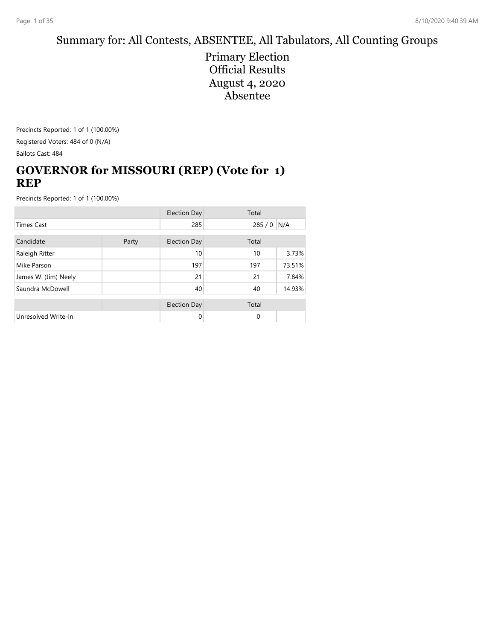## Summary for: All Contests, ABSENTEE, All Tabulators, All Counting Groups

Primary Election Official Results August 4, 2020 Absentee

Precincts Reported: 1 of 1 (100.00%) Registered Voters: 484 of 0 (N/A) Ballots Cast: 484

## **GOVERNOR for MISSOURI (REP) (Vote for 1) REP**

|                      |  | <b>Election Day</b> | Total    |        |
|----------------------|--|---------------------|----------|--------|
| <b>Times Cast</b>    |  | 285                 | 285/0    | N/A    |
| Candidate<br>Party   |  | <b>Election Day</b> | Total    |        |
| Raleigh Ritter       |  | 10                  | 10       | 3.73%  |
| Mike Parson          |  | 197                 | 197      | 73.51% |
| James W. (Jim) Neely |  | 21                  | 21       | 7.84%  |
| Saundra McDowell     |  | 40                  | 40       | 14.93% |
|                      |  | <b>Election Day</b> | Total    |        |
| Unresolved Write-In  |  | 0                   | $\Omega$ |        |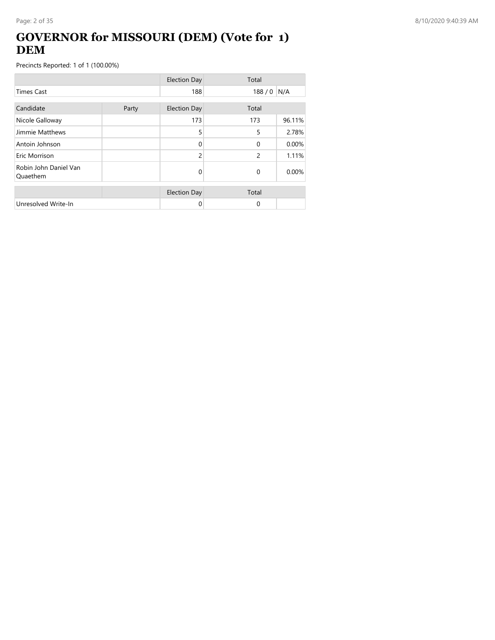## **GOVERNOR for MISSOURI (DEM) (Vote for 1) DEM**

|                                   |       | <b>Election Day</b> | Total    |        |
|-----------------------------------|-------|---------------------|----------|--------|
| <b>Times Cast</b>                 |       | 188                 | 188/0    | N/A    |
| Candidate                         | Party | <b>Election Day</b> | Total    |        |
| Nicole Galloway                   |       | 173                 | 173      | 96.11% |
| Jimmie Matthews                   |       | 5                   | 5        | 2.78%  |
| Antoin Johnson                    |       | $\Omega$            | $\Omega$ | 0.00%  |
| Eric Morrison                     |       | $\overline{c}$      | 2        | 1.11%  |
| Robin John Daniel Van<br>Quaethem |       | 0                   | $\Omega$ | 0.00%  |
|                                   |       | <b>Election Day</b> | Total    |        |
| Unresolved Write-In               |       | 0                   | 0        |        |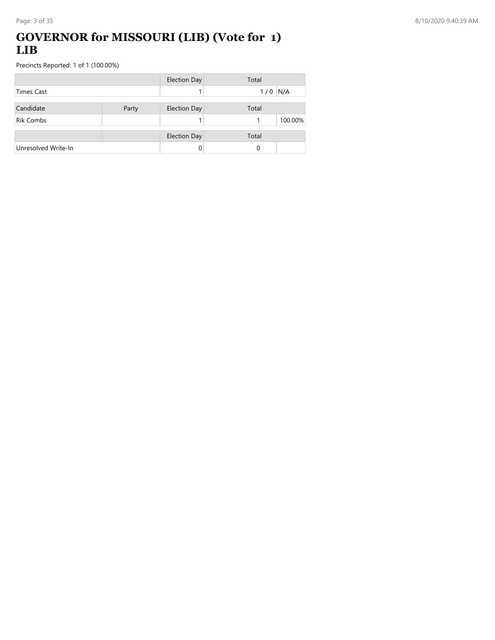## **GOVERNOR for MISSOURI (LIB) (Vote for 1) LIB**

|                     |       | <b>Election Day</b> | Total      |
|---------------------|-------|---------------------|------------|
| Times Cast          |       |                     | N/A<br>1/0 |
| Candidate           | Party | <b>Election Day</b> | Total      |
| <b>Rik Combs</b>    |       |                     | 100.00%    |
|                     |       | <b>Election Day</b> | Total      |
| Unresolved Write-In |       | 0                   | 0          |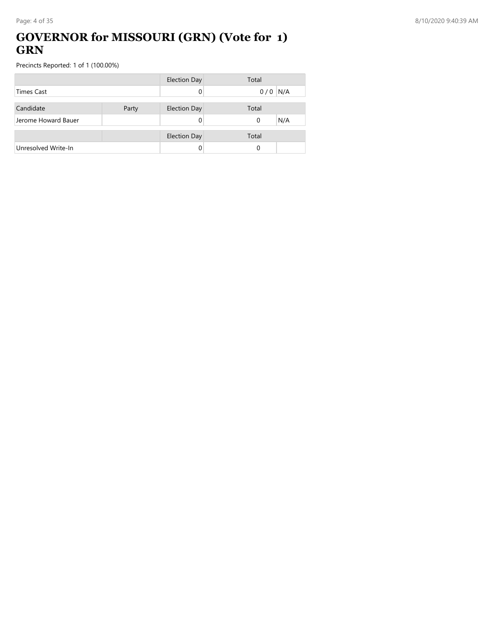## **GOVERNOR for MISSOURI (GRN) (Vote for 1) GRN**

|                     |       | <b>Election Day</b> | Total    |     |
|---------------------|-------|---------------------|----------|-----|
| <b>Times Cast</b>   |       |                     | 0/0      | N/A |
|                     |       |                     |          |     |
| Candidate           | Party | <b>Election Day</b> | Total    |     |
| Jerome Howard Bauer |       |                     | $\Omega$ | N/A |
|                     |       |                     |          |     |
|                     |       | <b>Election Day</b> | Total    |     |
| Unresolved Write-In |       |                     | 0        |     |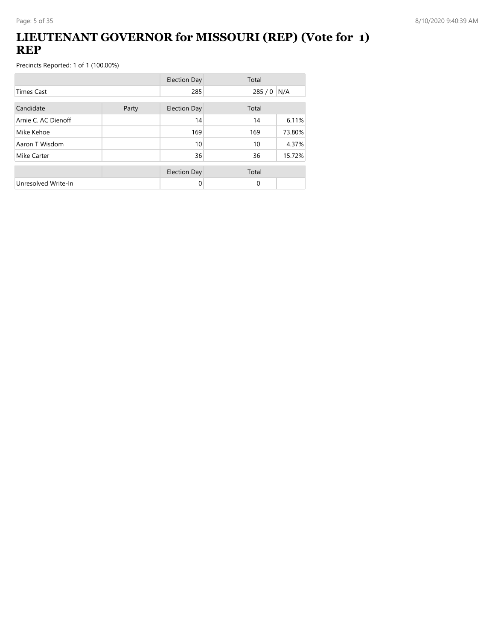## **LIEUTENANT GOVERNOR for MISSOURI (REP) (Vote for 1) REP**

|                     |       | <b>Election Day</b> | Total         |        |
|---------------------|-------|---------------------|---------------|--------|
| <b>Times Cast</b>   |       | 285                 | 285 / 0   N/A |        |
| Candidate           | Party | <b>Election Day</b> | Total         |        |
| Arnie C. AC Dienoff |       | 14                  | 14            | 6.11%  |
| Mike Kehoe          |       | 169                 | 169           | 73.80% |
| Aaron T Wisdom      |       | 10                  | 10            | 4.37%  |
| Mike Carter         |       | 36                  | 36            | 15.72% |
|                     |       | <b>Election Day</b> | Total         |        |
| Unresolved Write-In |       | 0                   | $\Omega$      |        |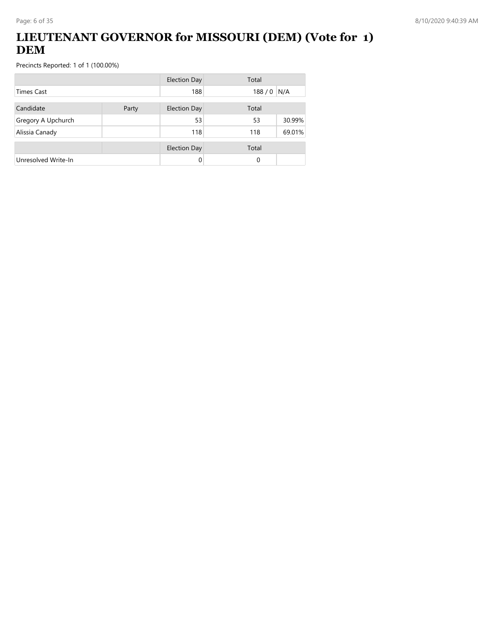## **LIEUTENANT GOVERNOR for MISSOURI (DEM) (Vote for 1) DEM**

|                     |       | <b>Election Day</b> | Total |        |
|---------------------|-------|---------------------|-------|--------|
| Times Cast          |       | 188                 | 188/0 | N/A    |
| Candidate           | Party | <b>Election Day</b> | Total |        |
| Gregory A Upchurch  |       | 53                  | 53    | 30.99% |
| Alissia Canady      |       | 118                 | 118   | 69.01% |
|                     |       | <b>Election Day</b> | Total |        |
| Unresolved Write-In |       | $\Omega$            | 0     |        |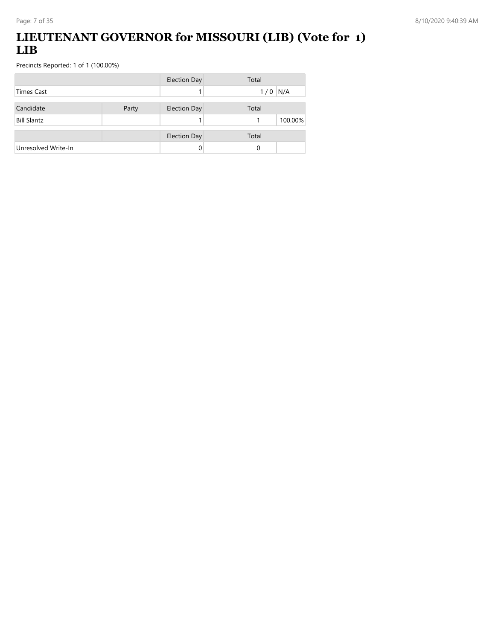## **LIEUTENANT GOVERNOR for MISSOURI (LIB) (Vote for 1) LIB**

|                     |       | <b>Election Day</b> | Total        |
|---------------------|-------|---------------------|--------------|
| Times Cast          |       |                     | N/A<br>1/0   |
| Candidate           | Party | <b>Election Day</b> | Total        |
| <b>Bill Slantz</b>  |       |                     | 100.00%<br>1 |
|                     |       | <b>Election Day</b> | Total        |
| Unresolved Write-In |       | 0                   | 0            |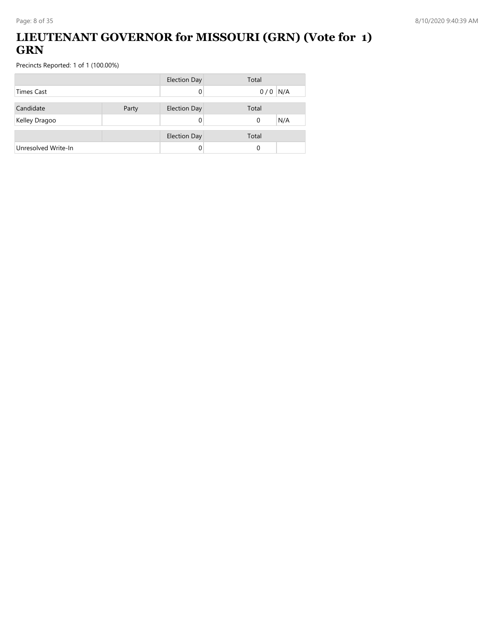## **LIEUTENANT GOVERNOR for MISSOURI (GRN) (Vote for 1) GRN**

|                     |       | <b>Election Day</b> | Total           |
|---------------------|-------|---------------------|-----------------|
| <b>Times Cast</b>   |       |                     | $0/0$ N/A       |
| Candidate           | Party | <b>Election Day</b> | Total           |
| Kelley Dragoo       |       |                     | N/A<br>$\Omega$ |
|                     |       |                     |                 |
|                     |       | <b>Election Day</b> | Total           |
| Unresolved Write-In |       |                     | 0               |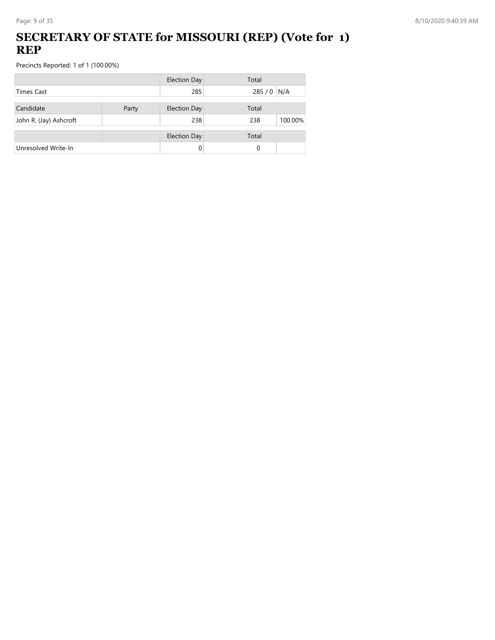## **SECRETARY OF STATE for MISSOURI (REP) (Vote for 1) REP**

|                        |       | <b>Election Day</b> | Total          |
|------------------------|-------|---------------------|----------------|
| <b>Times Cast</b>      |       | 285                 | 285 / 0 N/A    |
| Candidate              | Party | <b>Election Day</b> | Total          |
| John R. (Jay) Ashcroft |       | 238                 | 238<br>100.00% |
|                        |       | <b>Election Day</b> | Total          |
| Unresolved Write-In    |       | 0                   | 0              |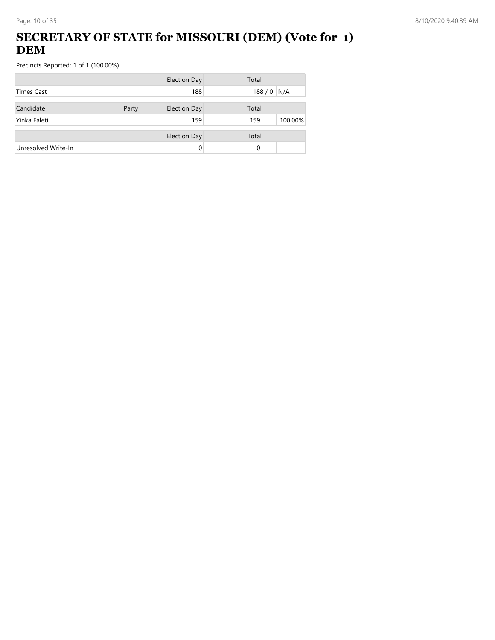## **SECRETARY OF STATE for MISSOURI (DEM) (Vote for 1) DEM**

|                     |       | <b>Election Day</b> | Total          |
|---------------------|-------|---------------------|----------------|
| Times Cast          |       | 188                 | 188 / 0 N/A    |
| Candidate           | Party | <b>Election Day</b> | Total          |
| Yinka Faleti        |       | 159                 | 100.00%<br>159 |
|                     |       | <b>Election Day</b> | Total          |
| Unresolved Write-In |       | 0                   | 0              |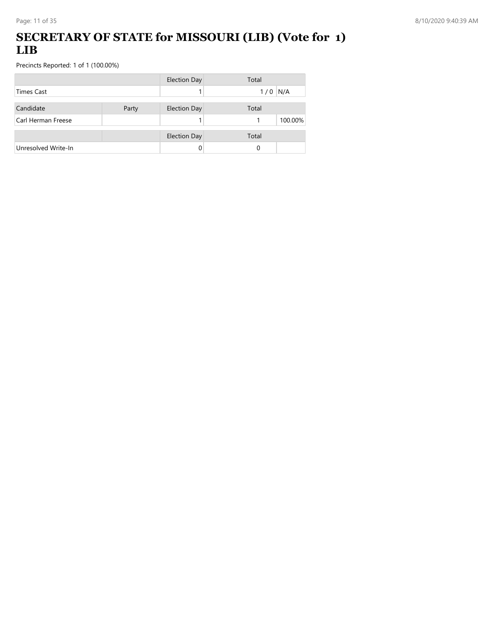### **SECRETARY OF STATE for MISSOURI (LIB) (Vote for 1) LIB**

|                     |       | <b>Election Day</b> | Total        |
|---------------------|-------|---------------------|--------------|
| <b>Times Cast</b>   |       |                     | N/A<br>1/0   |
| Candidate           | Party | <b>Election Day</b> | Total        |
| Carl Herman Freese  |       |                     | 100.00%<br>1 |
|                     |       | <b>Election Day</b> | Total        |
| Unresolved Write-In |       |                     | 0            |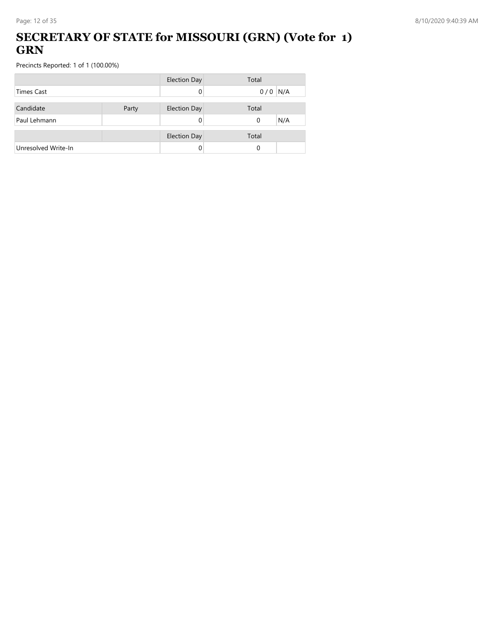### **SECRETARY OF STATE for MISSOURI (GRN) (Vote for 1) GRN**

|                     |       | <b>Election Day</b> | Total     |
|---------------------|-------|---------------------|-----------|
| Times Cast          |       |                     | $0/0$ N/A |
| Candidate           | Party | <b>Election Day</b> | Total     |
| Paul Lehmann        |       |                     | N/A<br>0  |
|                     |       |                     |           |
|                     |       | <b>Election Day</b> | Total     |
| Unresolved Write-In |       |                     | 0         |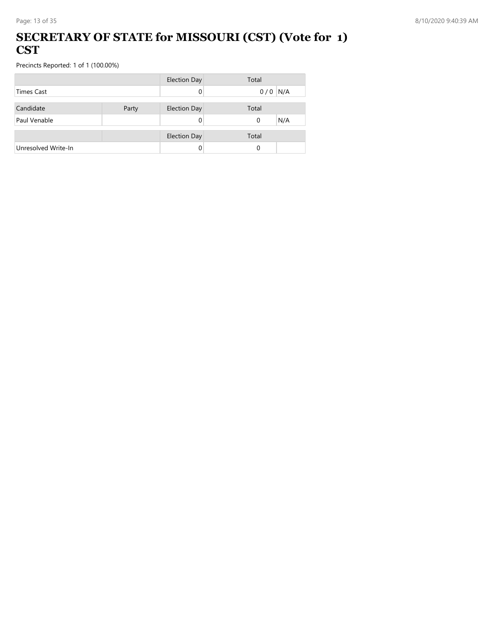#### **SECRETARY OF STATE for MISSOURI (CST) (Vote for 1) CST**

|                     |       | <b>Election Day</b> | Total     |
|---------------------|-------|---------------------|-----------|
| <b>Times Cast</b>   |       |                     | $0/0$ N/A |
|                     |       |                     |           |
| Candidate           | Party | <b>Election Day</b> | Total     |
| Paul Venable        |       |                     | N/A<br>0  |
|                     |       |                     |           |
|                     |       | <b>Election Day</b> | Total     |
| Unresolved Write-In |       |                     | $\Omega$  |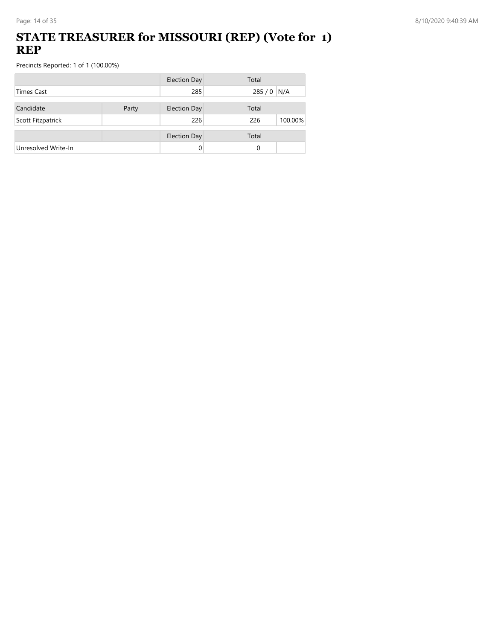### **STATE TREASURER for MISSOURI (REP) (Vote for 1) REP**

|                     |       | <b>Election Day</b> | Total          |
|---------------------|-------|---------------------|----------------|
| Times Cast          |       | 285                 | $285/0$ N/A    |
| Candidate           | Party | <b>Election Day</b> | Total          |
| Scott Fitzpatrick   |       | 226                 | 226<br>100.00% |
|                     |       |                     | Total          |
|                     |       | <b>Election Day</b> |                |
| Unresolved Write-In |       |                     | 0              |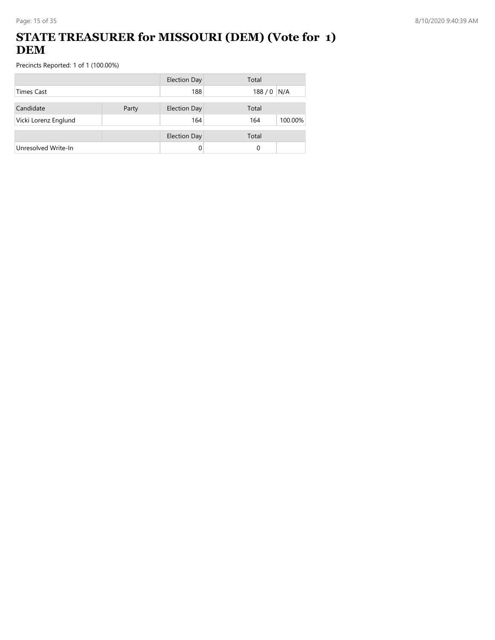## **STATE TREASURER for MISSOURI (DEM) (Vote for 1) DEM**

|                      |       | <b>Election Day</b> | Total          |
|----------------------|-------|---------------------|----------------|
| <b>Times Cast</b>    |       | 188                 | 188/0<br>N/A   |
| Candidate            | Party | <b>Election Day</b> | Total          |
| Vicki Lorenz Englund |       | 164                 | 100.00%<br>164 |
|                      |       | <b>Election Day</b> | Total          |
| Unresolved Write-In  |       | 0                   | 0              |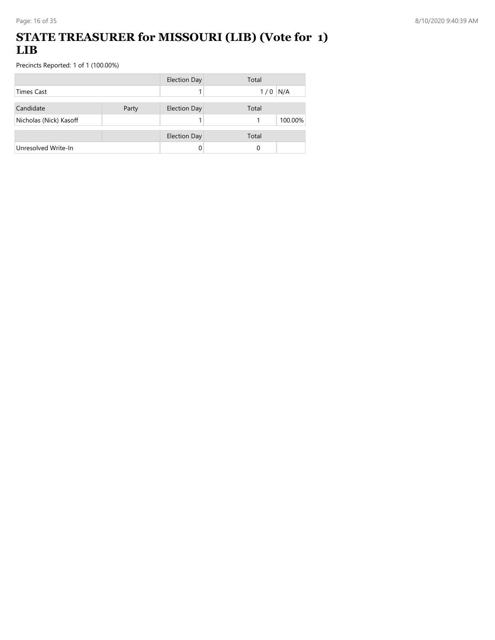### **STATE TREASURER for MISSOURI (LIB) (Vote for 1) LIB**

|                        |       | <b>Election Day</b> | Total      |
|------------------------|-------|---------------------|------------|
| <b>Times Cast</b>      |       |                     | N/A<br>1/0 |
| Candidate              | Party | <b>Election Day</b> | Total      |
| Nicholas (Nick) Kasoff |       |                     | 100.00%    |
|                        |       | <b>Election Day</b> | Total      |
| Unresolved Write-In    |       |                     | 0          |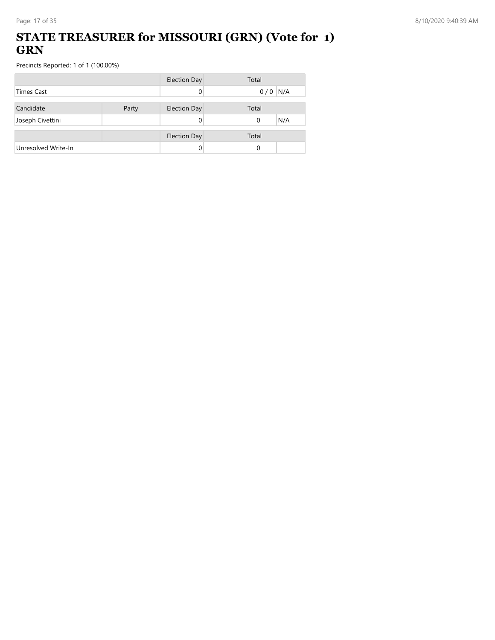### **STATE TREASURER for MISSOURI (GRN) (Vote for 1) GRN**

|                     |       | <b>Election Day</b> | Total           |
|---------------------|-------|---------------------|-----------------|
| <b>Times Cast</b>   |       |                     | $0/0$ N/A       |
| Candidate           | Party | <b>Election Day</b> | Total           |
| Joseph Civettini    |       |                     | N/A<br>$\Omega$ |
|                     |       |                     |                 |
|                     |       | <b>Election Day</b> | Total           |
| Unresolved Write-In |       |                     | 0               |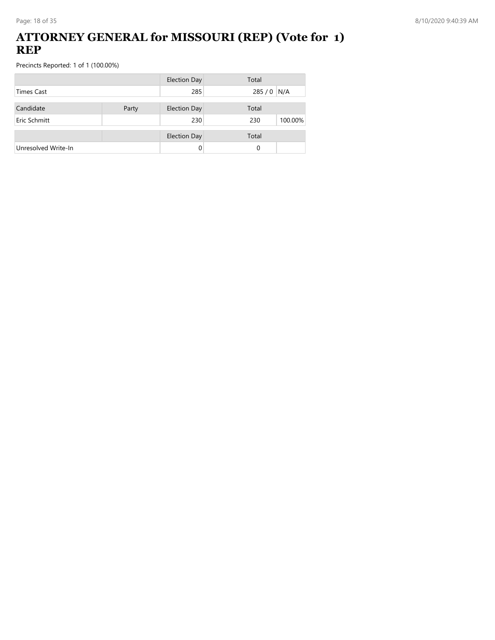### **ATTORNEY GENERAL for MISSOURI (REP) (Vote for 1) REP**

|                     |       | <b>Election Day</b> | Total          |
|---------------------|-------|---------------------|----------------|
| <b>Times Cast</b>   |       | 285                 | 285 / 0 N/A    |
| Candidate           | Party | <b>Election Day</b> | Total          |
| Eric Schmitt        |       | 230                 | 100.00%<br>230 |
|                     |       | <b>Election Day</b> | Total          |
| Unresolved Write-In |       | 0                   | 0              |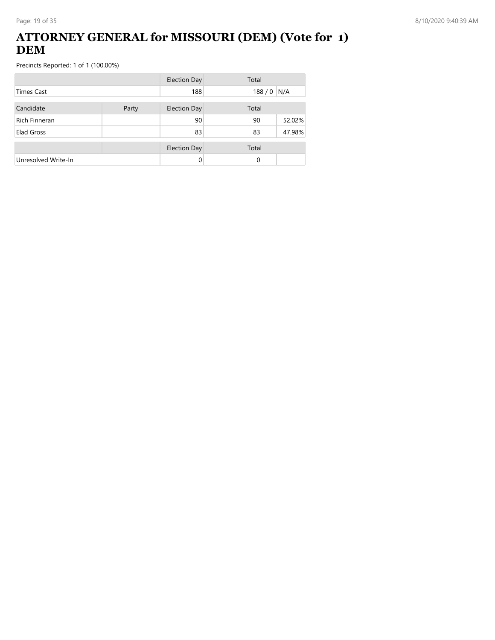### **ATTORNEY GENERAL for MISSOURI (DEM) (Vote for 1) DEM**

|                      |       | <b>Election Day</b> | Total |        |
|----------------------|-------|---------------------|-------|--------|
| Times Cast           |       | 188                 | 188/0 | N/A    |
| Candidate            | Party | <b>Election Day</b> | Total |        |
| <b>Rich Finneran</b> |       | 90                  | 90    | 52.02% |
| Elad Gross           |       | 83                  | 83    | 47.98% |
|                      |       | <b>Election Day</b> | Total |        |
| Unresolved Write-In  |       | 0                   | 0     |        |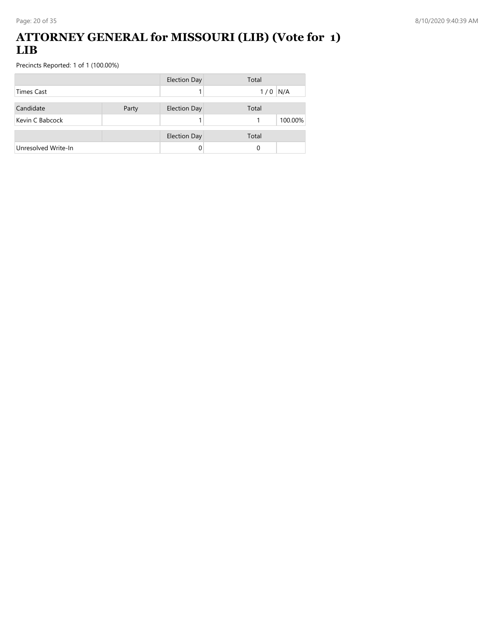#### **ATTORNEY GENERAL for MISSOURI (LIB) (Vote for 1) LIB**

|                     |       | <b>Election Day</b> | Total        |
|---------------------|-------|---------------------|--------------|
| <b>Times Cast</b>   |       |                     | N/A<br>1/0   |
| Candidate           | Party | <b>Election Day</b> | Total        |
| Kevin C Babcock     |       |                     | 100.00%<br>1 |
|                     |       | <b>Election Day</b> | Total        |
| Unresolved Write-In |       |                     | 0            |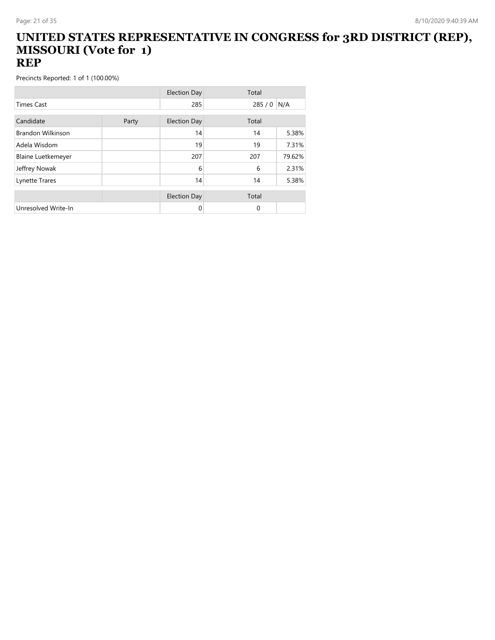#### **UNITED STATES REPRESENTATIVE IN CONGRESS for 3RD DISTRICT (REP), MISSOURI (Vote for 1) REP**

|                           |       | <b>Election Day</b> | Total    |        |
|---------------------------|-------|---------------------|----------|--------|
| <b>Times Cast</b>         |       | 285                 | 285/0    | N/A    |
| Candidate                 | Party | <b>Election Day</b> | Total    |        |
| <b>Brandon Wilkinson</b>  |       | 14                  | 14       | 5.38%  |
| Adela Wisdom              |       | 19                  | 19       | 7.31%  |
| <b>Blaine Luetkemeyer</b> |       | 207                 | 207      | 79.62% |
| Jeffrey Nowak             |       | 6                   | 6        | 2.31%  |
| Lynette Trares            |       | 14                  | 14       | 5.38%  |
|                           |       | <b>Election Day</b> | Total    |        |
| Unresolved Write-In       |       | 0                   | $\Omega$ |        |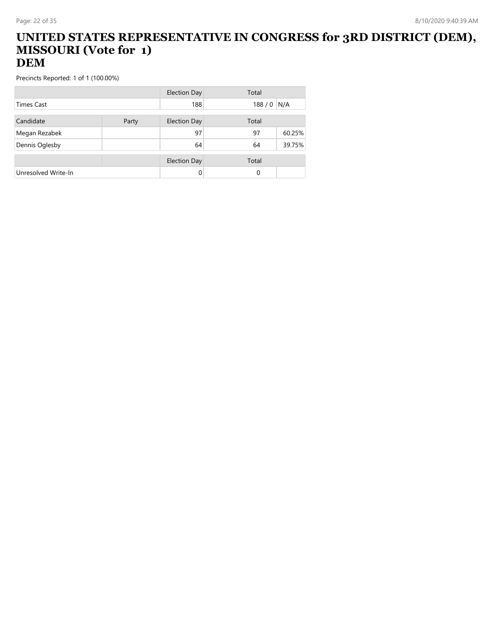#### **UNITED STATES REPRESENTATIVE IN CONGRESS for 3RD DISTRICT (DEM), MISSOURI (Vote for 1) DEM**

|                     |       | Election Day        | Total    |        |
|---------------------|-------|---------------------|----------|--------|
| <b>Times Cast</b>   |       | 188                 | 188/0    | N/A    |
| Candidate           | Party | <b>Election Day</b> | Total    |        |
| Megan Rezabek       |       | 97                  | 97       | 60.25% |
| Dennis Oglesby      |       | 64                  | 64       | 39.75% |
|                     |       | <b>Election Day</b> | Total    |        |
| Unresolved Write-In |       | 0                   | $\Omega$ |        |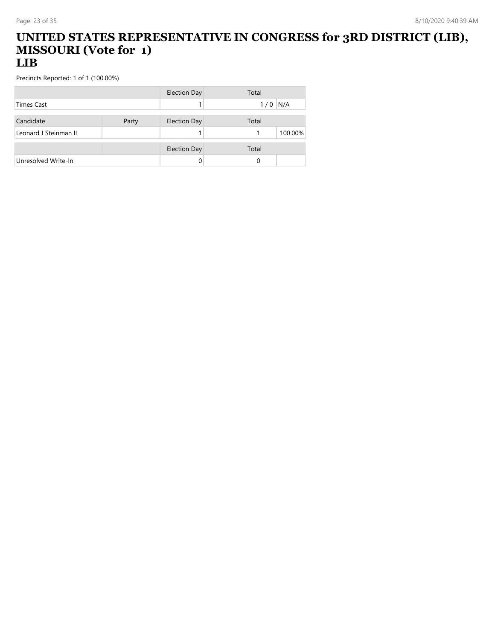#### **UNITED STATES REPRESENTATIVE IN CONGRESS for 3RD DISTRICT (LIB), MISSOURI (Vote for 1) LIB**

|                       |       | <b>Election Day</b> | Total     |
|-----------------------|-------|---------------------|-----------|
| <b>Times Cast</b>     |       |                     | $1/0$ N/A |
| Candidate             | Party | <b>Election Day</b> | Total     |
| Leonard J Steinman II |       |                     | 100.00%   |
|                       |       | <b>Election Day</b> | Total     |
| Unresolved Write-In   |       |                     | 0         |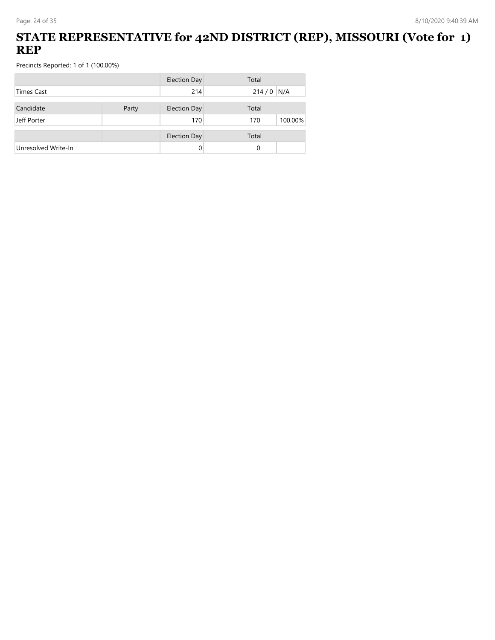## **STATE REPRESENTATIVE for 42ND DISTRICT (REP), MISSOURI (Vote for 1) REP**

|                     |       | <b>Election Day</b> | Total          |
|---------------------|-------|---------------------|----------------|
| <b>Times Cast</b>   |       | 214                 | 214/0<br>N/A   |
|                     |       |                     |                |
| Candidate           | Party | <b>Election Day</b> | Total          |
| Jeff Porter         |       | 170                 | 100.00%<br>170 |
|                     |       | <b>Election Day</b> | Total          |
| Unresolved Write-In |       |                     | 0              |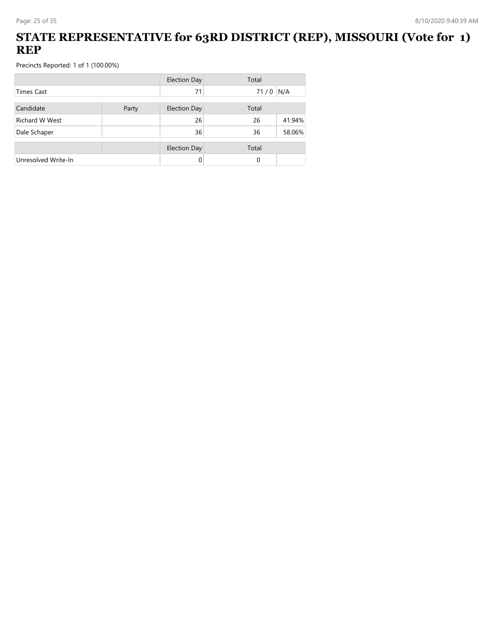### **STATE REPRESENTATIVE for 63RD DISTRICT (REP), MISSOURI (Vote for 1) REP**

|                       |       | <b>Election Day</b> | Total |        |
|-----------------------|-------|---------------------|-------|--------|
| Times Cast            |       | 71                  | 71/0  | N/A    |
| Candidate             | Party | <b>Election Day</b> | Total |        |
| <b>Richard W West</b> |       | 26                  | 26    | 41.94% |
| Dale Schaper          |       | 36                  | 36    | 58.06% |
|                       |       | <b>Election Day</b> | Total |        |
| Unresolved Write-In   |       | 0                   | 0     |        |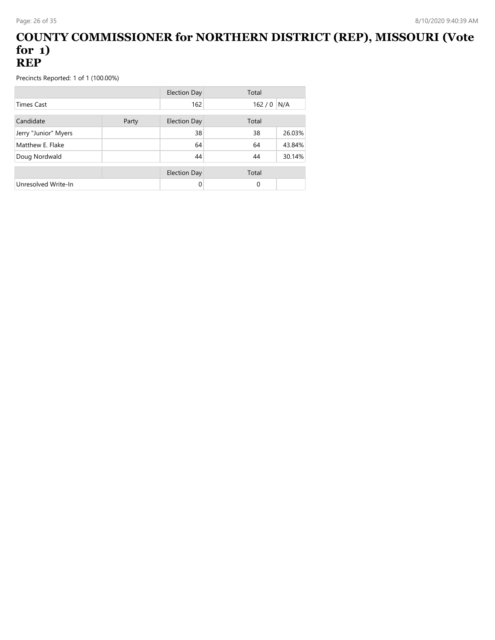#### **COUNTY COMMISSIONER for NORTHERN DISTRICT (REP), MISSOURI (Vote for 1) REP**

|                      |       | <b>Election Day</b> | Total    |        |
|----------------------|-------|---------------------|----------|--------|
| <b>Times Cast</b>    |       | 162                 | 162/0    | N/A    |
| Candidate            | Party | <b>Election Day</b> | Total    |        |
| Jerry "Junior" Myers |       | 38                  | 38       | 26.03% |
| Matthew E. Flake     |       | 64                  | 64       | 43.84% |
| Doug Nordwald        |       | 44                  | 44       | 30.14% |
|                      |       | <b>Election Day</b> | Total    |        |
| Unresolved Write-In  |       | 0                   | $\Omega$ |        |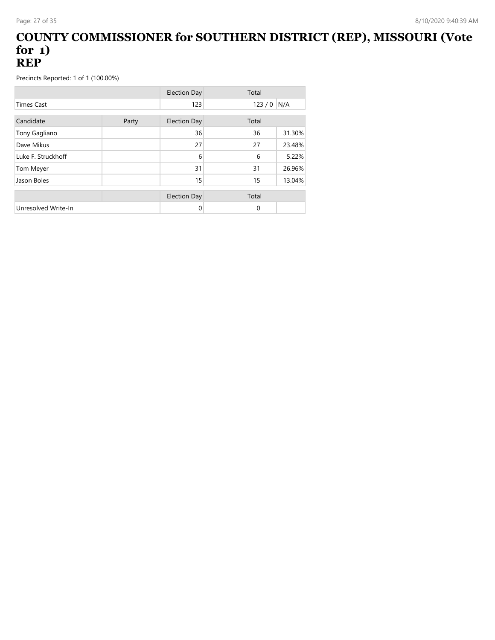#### **COUNTY COMMISSIONER for SOUTHERN DISTRICT (REP), MISSOURI (Vote for 1) REP**

|                     |       | <b>Election Day</b> | Total    |        |
|---------------------|-------|---------------------|----------|--------|
| <b>Times Cast</b>   |       | 123                 | 123/0    | N/A    |
| Candidate           | Party | <b>Election Day</b> | Total    |        |
| Tony Gagliano       |       | 36                  | 36       | 31.30% |
| Dave Mikus          |       | 27                  | 27       | 23.48% |
| Luke F. Struckhoff  |       | 6                   | 6        | 5.22%  |
| Tom Meyer           |       | 31                  | 31       | 26.96% |
| Jason Boles         |       | 15                  | 15       | 13.04% |
|                     |       | <b>Election Day</b> | Total    |        |
| Unresolved Write-In |       | 0                   | $\Omega$ |        |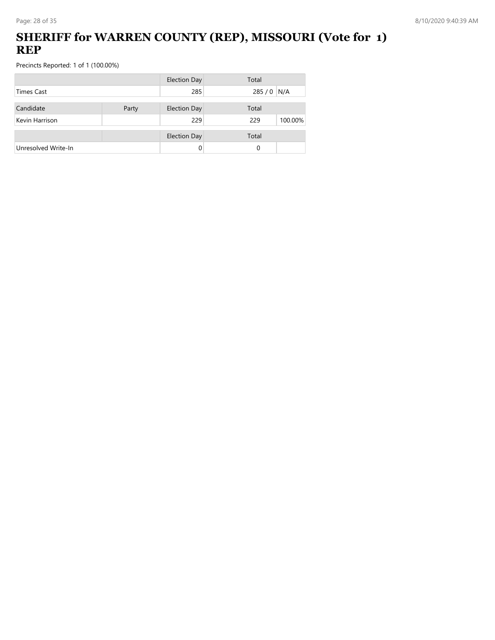## **SHERIFF for WARREN COUNTY (REP), MISSOURI (Vote for 1) REP**

|                     |       | <b>Election Day</b> | Total          |
|---------------------|-------|---------------------|----------------|
| Times Cast          |       | 285                 | 285 / 0 N/A    |
| Candidate           | Party | <b>Election Day</b> | Total          |
| Kevin Harrison      |       | 229                 | 100.00%<br>229 |
|                     |       | <b>Election Day</b> | Total          |
| Unresolved Write-In |       | 0                   | 0              |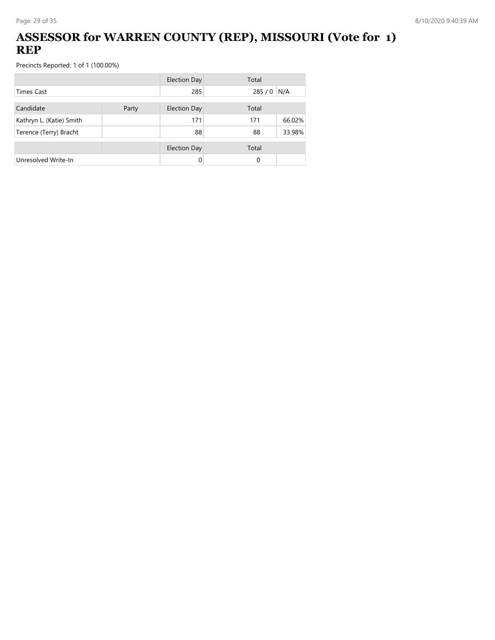## **ASSESSOR for WARREN COUNTY (REP), MISSOURI (Vote for 1) REP**

|                          |       | <b>Election Day</b> | Total |        |
|--------------------------|-------|---------------------|-------|--------|
| <b>Times Cast</b>        |       | 285                 | 285/0 | N/A    |
| Candidate                | Party | <b>Election Day</b> | Total |        |
| Kathryn L. (Katie) Smith |       | 171                 | 171   | 66.02% |
| Terence (Terry) Bracht   |       | 88                  | 88    | 33.98% |
|                          |       | <b>Election Day</b> | Total |        |
| Unresolved Write-In      |       |                     | 0     |        |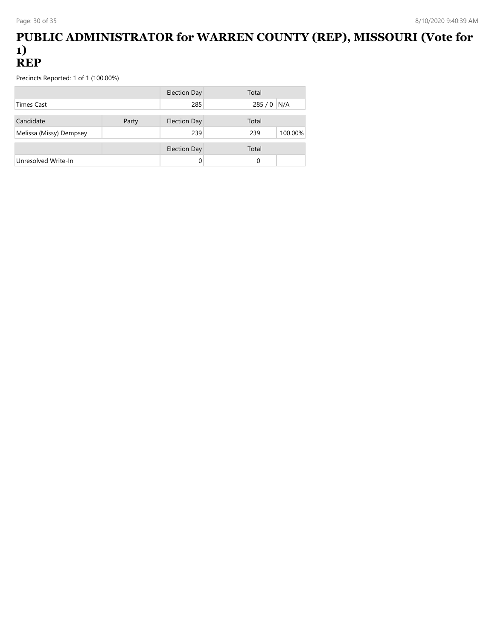#### **PUBLIC ADMINISTRATOR for WARREN COUNTY (REP), MISSOURI (Vote for 1) REP**

|                         |       | Election Day        | Total       |         |
|-------------------------|-------|---------------------|-------------|---------|
| Times Cast              |       | 285                 | 285 / 0 N/A |         |
| Candidate               | Party | <b>Election Day</b> | Total       |         |
| Melissa (Missy) Dempsey |       | 239                 | 239         | 100.00% |
|                         |       | <b>Election Day</b> | Total       |         |
| Unresolved Write-In     |       |                     | 0           |         |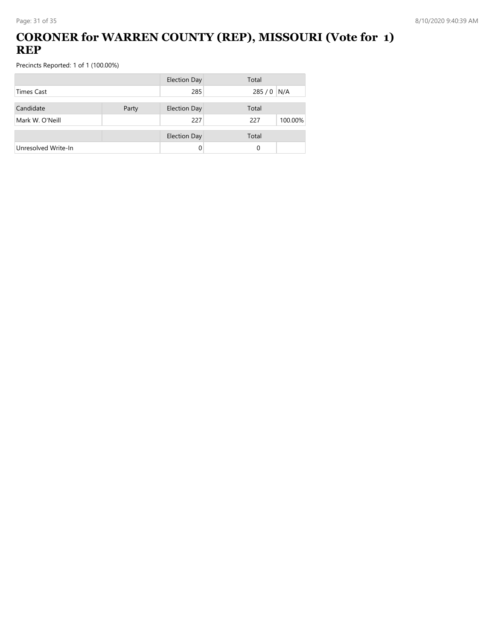## **CORONER for WARREN COUNTY (REP), MISSOURI (Vote for 1) REP**

|                     |       | <b>Election Day</b> | Total          |
|---------------------|-------|---------------------|----------------|
| <b>Times Cast</b>   |       | 285                 | 285 / 0 N/A    |
| Candidate           | Party | <b>Election Day</b> | Total          |
| Mark W. O'Neill     |       | 227                 | 100.00%<br>227 |
|                     |       | <b>Election Day</b> | Total          |
| Unresolved Write-In |       |                     | 0              |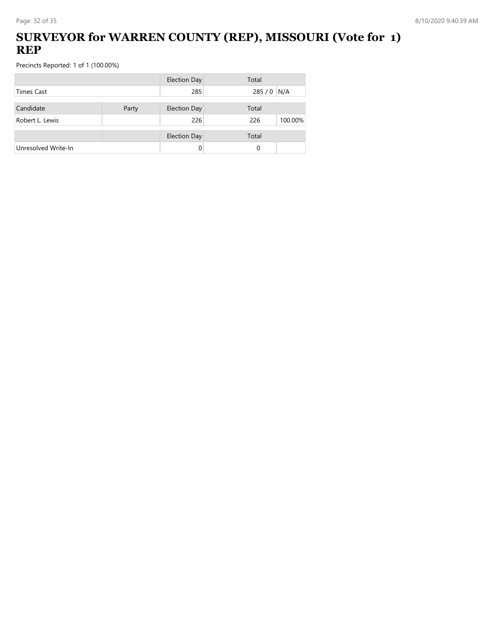## **SURVEYOR for WARREN COUNTY (REP), MISSOURI (Vote for 1) REP**

|                     |       | <b>Election Day</b> | Total          |
|---------------------|-------|---------------------|----------------|
| Times Cast          |       | 285                 | 285 / 0 N/A    |
| Candidate           | Party | <b>Election Day</b> | Total          |
| Robert L. Lewis     |       | 226                 | 226<br>100.00% |
|                     |       | <b>Election Day</b> | Total          |
| Unresolved Write-In |       | 0                   | 0              |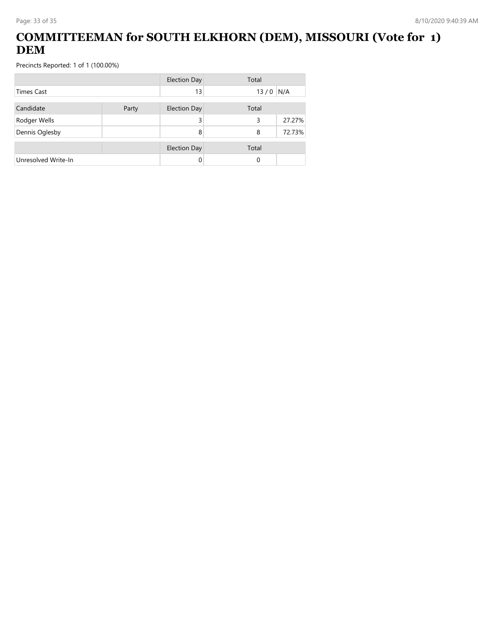## **COMMITTEEMAN for SOUTH ELKHORN (DEM), MISSOURI (Vote for 1) DEM**

|                     |       | <b>Election Day</b> | Total |        |
|---------------------|-------|---------------------|-------|--------|
| Times Cast          |       | 13                  | 13/0  | N/A    |
| Candidate           | Party | <b>Election Day</b> | Total |        |
| Rodger Wells        |       | 3                   | 3     | 27.27% |
| Dennis Oglesby      |       | 8                   | 8     | 72.73% |
|                     |       | <b>Election Day</b> | Total |        |
| Unresolved Write-In |       | 0                   | 0     |        |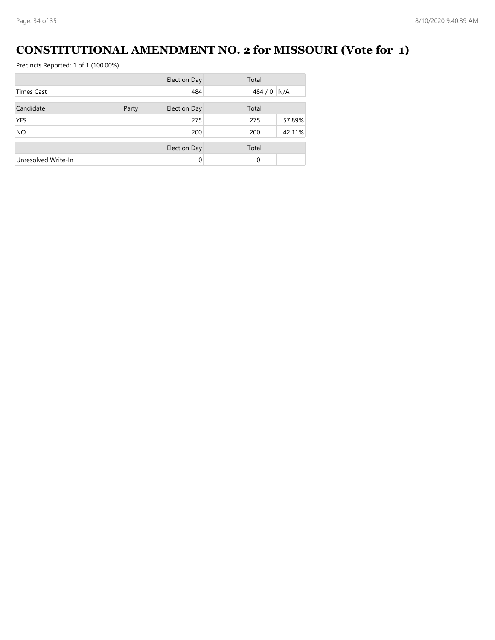# **CONSTITUTIONAL AMENDMENT NO. 2 for MISSOURI (Vote for 1)**

|                     |       | <b>Election Day</b> | Total       |        |
|---------------------|-------|---------------------|-------------|--------|
| <b>Times Cast</b>   |       | 484                 | 484 / 0 N/A |        |
| Candidate           | Party | <b>Election Day</b> | Total       |        |
| <b>YES</b>          |       | 275                 | 275         | 57.89% |
| <b>NO</b>           |       | 200                 | 200         | 42.11% |
|                     |       | <b>Election Day</b> | Total       |        |
| Unresolved Write-In |       |                     | $\Omega$    |        |